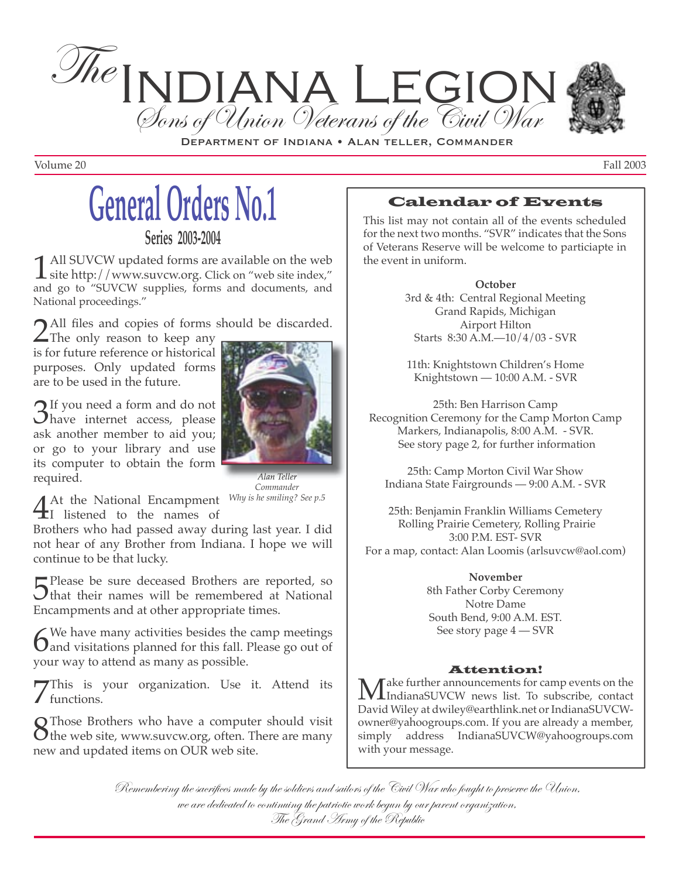

DEPARTMENT OF INDIANA • ALAN TELLER, COMMANDER

Volume 20 Fall 2003

**General Orders No.1**

**Series 2003-2004**

1 All SUVCW updated forms are available on the web<br>site http://www.suvcw.org. Click on "web site index," and go to "SUVCW supplies, forms and documents, and National proceedings."

All files and copies of forms should be discarded.

 $\angle$ The only reason to keep any is for future reference or historical purposes. Only updated forms are to be used in the future.

 $\sum$ If you need a form and do not<br>Shave internet access, please ask another member to aid you; or go to your library and use its computer to obtain the form required.



*Commander*

*Alan Teller* 

At the National Encampment<br>I listened to the names of<br>Brothers who had passed away du *Why is he smiling? See p.5*

Brothers who had passed away during last year. I did not hear of any Brother from Indiana. I hope we will continue to be that lucky.

Thease be sure deceased Brothers are reported, so<br>that their names will be remembered at National<br>Encomments and at other appropriate times Encampments and at other appropriate times.

We have many activities besides the camp meetings<br>
and visitations planned for this fall. Please go out of<br>
wour way to attend as many as possible your way to attend as many as possible.

This is your organization. Use it. Attend its<br> **Q** Those Brothers who have a computer should visit functions.

 $\sum_{\text{the}}$  Those Brothers who have a computer should visit  $\sum_{\text{the}}$  web site, www.suvcw.org, often. There are many new and updated items on OUR web site.

### Calendar of Events

This list may not contain all of the events scheduled for the next two months. "SVR" indicates that the Sons of Veterans Reserve will be welcome to particiapte in the event in uniform.

#### **October**

3rd & 4th: Central Regional Meeting Grand Rapids, Michigan Airport Hilton Starts 8:30 A.M. —10/4/03 - SVR

11th: Knightstown Children's Home Knightstown — 10:00 A.M. - SVR

25th: Ben Harrison Camp Recognition Ceremony for the Camp Morton Camp Markers, Indianapolis, 8:00 A.M. - SVR. See story page 2, for further information

25th: Camp Morton Civil War Show Indiana State Fairgrounds — 9:00 A.M. - SVR

25th: Benjamin Franklin Williams Cemetery Rolling Prairie Cemetery, Rolling Prairie 3:00 P.M. EST- SVR For a map, contact: Alan Loomis (arlsuvcw@aol.com)

> **November**  8th Father Corby Ceremony Notre Dame South Bend, 9:00 A.M. EST. See story page 4 — SVR

#### Attention!

 $\mathbf{M}$ ake further announcements for camp events on the IndianaSUVCW news list. To subscribe, contact  $\mathbf{N}$ David Wiley at dwiley@earthlink.net or IndianaSUVCWowner@yahoogroups.com. If you are already a member, simply address IndianaSUVCW@yahoogroups.com with your message.

Remembering the sacrifices made by the soldiers and sailors of the Civil War who fought to preserve the Union, we are dedicated to continuing the patriotic work begun by our parent organization, The Grand Army of the Republic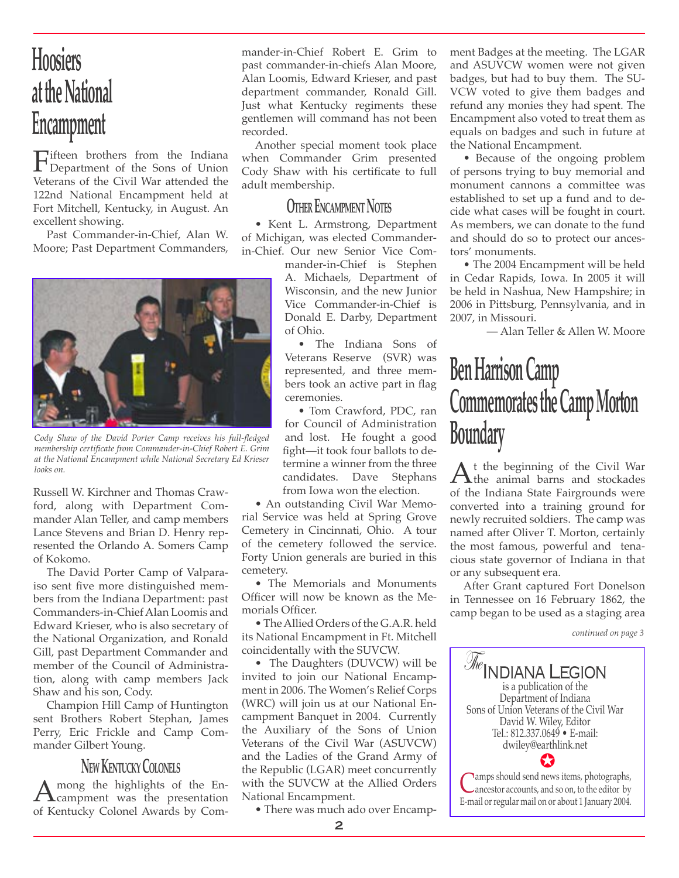# **Hoosiers at the National Encampment**

Fifteen brothers from the Indiana<br>Department of the Sons of Union<br>Veterans of the Givil War attended the Veterans of the Civil War attended the 122nd National Encampment held at Fort Mitchell, Kentucky, in August. An excellent showing.

Past Commander-in-Chief, Alan W. Moore; Past Department Commanders,



*Cody Shaw of the David Porter Camp receives his full-fledged membership certificate from Commander-in-Chief Robert E. Grim at the National Encampment while National Secretary Ed Krieser looks on.*

Russell W. Kirchner and Thomas Crawford, along with Department Commander Alan Teller, and camp members Lance Stevens and Brian D. Henry represented the Orlando A. Somers Camp of Kokomo.

The David Porter Camp of Valparaiso sent five more distinguished members from the Indiana Department: past Commanders-in-Chief Alan Loomis and Edward Krieser, who is also secretary of the National Organization, and Ronald Gill, past Department Commander and member of the Council of Administration, along with camp members Jack Shaw and his son, Cody.

Champion Hill Camp of Huntington sent Brothers Robert Stephan, James Perry, Eric Frickle and Camp Commander Gilbert Young.

### **NEW KENTUCKY COLONELS**

 $\Lambda$  mong the highlights of the En-<br>campment was the presentation<br>of Kontucky Golonal Awards by Com of Kentucky Colonel Awards by Commander-in-Chief Robert E. Grim to past commander-in-chiefs Alan Moore, Alan Loomis, Edward Krieser, and past department commander, Ronald Gill. Just what Kentucky regiments these gentlemen will command has not been recorded.

Another special moment took place when Commander Grim presented Cody Shaw with his certificate to full adult membership.

### **OTHER ENCAMPMENT NOTES**

• Kent L. Armstrong, Department of Michigan, was elected Commanderin-Chief. Our new Senior Vice Com-

> mander-in-Chief is Stephen A. Michaels, Department of Wisconsin, and the new Junior Vice Commander-in-Chief is Donald E. Darby, Department of Ohio.

> • The Indiana Sons of Veterans Reserve (SVR) was represented, and three members took an active part in flag ceremonies.

• Tom Crawford, PDC, ran for Council of Administration and lost. He fought a good fight—it took four ballots to determine a winner from the three candidates. Dave Stephans from Iowa won the election.

• An outstanding Civil War Memorial Service was held at Spring Grove Cemetery in Cincinnati, Ohio. A tour of the cemetery followed the service. Forty Union generals are buried in this cemetery.

• The Memorials and Monuments Officer will now be known as the Memorials Officer.

• The Allied Orders of the G.A.R. held its National Encampment in Ft. Mitchell coincidentally with the SUVCW.

• The Daughters (DUVCW) will be invited to join our National Encampment in 2006. The Women's Relief Corps (WRC) will join us at our National Encampment Banquet in 2004. Currently the Auxiliary of the Sons of Union Veterans of the Civil War (ASUVCW) and the Ladies of the Grand Army of the Republic (LGAR) meet concurrently with the SUVCW at the Allied Orders National Encampment.

• There was much ado over Encamp-

ment Badges at the meeting. The LGAR and ASUVCW women were not given badges, but had to buy them. The SU-VCW voted to give them badges and refund any monies they had spent. The Encampment also voted to treat them as equals on badges and such in future at the National Encampment.

• Because of the ongoing problem of persons trying to buy memorial and monument cannons a committee was established to set up a fund and to decide what cases will be fought in court. As members, we can donate to the fund and should do so to protect our ancestors' monuments.

• The 2004 Encampment will be held in Cedar Rapids, Iowa. In 2005 it will be held in Nashua, New Hampshire; in 2006 in Pittsburg, Pennsylvania, and in 2007, in Missouri.

— Alan Teller & Allen W. Moore

# **Ben Harrison Camp Commemorates the Camp Morton Boundary**

 $\Lambda$ <sup>t</sup> the beginning of the Civil War<br>of the Indiana State Exircraveds were of the Indiana State Fairgrounds were converted into a training ground for newly recruited soldiers. The camp was named after Oliver T. Morton, certainly the most famous, powerful and tenacious state governor of Indiana in that or any subsequent era.

After Grant captured Fort Donelson in Tennessee on 16 February 1862, the camp began to be used as a staging area

*continued on page 3*

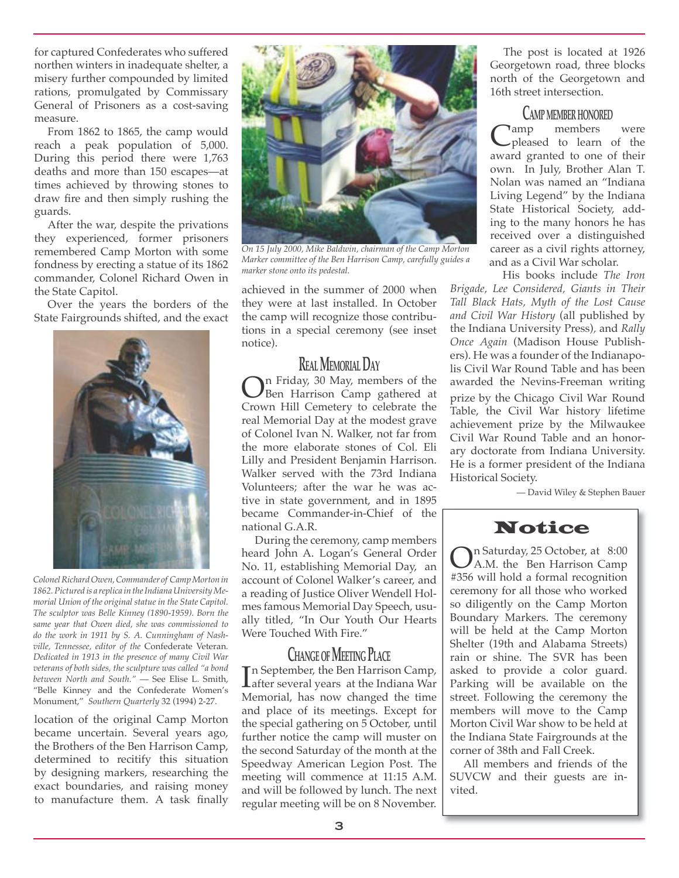for captured Confederates who suffered northen winters in inadequate shelter, a misery further compounded by limited rations, promulgated by Commissary General of Prisoners as a cost-saving measure.

From 1862 to 1865, the camp would reach a peak population of 5,000. During this period there were 1,763 deaths and more than 150 escapes—at times achieved by throwing stones to draw fire and then simply rushing the guards.

After the war, despite the privations they experienced, former prisoners remembered Camp Morton with some fondness by erecting a statue of its 1862 commander, Colonel Richard Owen in the State Capitol.

Over the years the borders of the State Fairgrounds shifted, and the exact



*Colonel Richard Owen, Commander of Camp Morton in 1862. Pictured is a replica in the Indiana University Memorial Union of the original statue in the State Capitol. The sculptor was Belle Kinney (1890-1959). Born the same year that Owen died, she was commissioned to do the work in 1911 by S. A. Cunningham of Nashville, Tennessee, editor of the* Confederate Veteran*. Dedicated in 1913 in the presence of many Civil War veterans of both sides, the sculpture was called "a bond between North and South."* — See Elise L. Smith, "Belle Kinney and the Confederate Women's Monument," *Southern Quarterly* 32 (1994) 2-27.

location of the original Camp Morton became uncertain. Several years ago, the Brothers of the Ben Harrison Camp, determined to recitify this situation by designing markers, researching the exact boundaries, and raising money to manufacture them. A task finally



*On 15 July 2000, Mike Baldwin, chairman of the Camp Morton Marker committee of the Ben Harrison Camp, carefully guides a marker stone onto its pedestal.*

achieved in the summer of 2000 when they were at last installed. In October the camp will recognize those contributions in a special ceremony (see inset notice).

**REAL MEMORIAL DAY**<br>In Friday, 30 May, members of the On Friday, 30 May, members of the Ben Harrison Camp gathered at Crown Hill Cemetery to celebrate the real Memorial Day at the modest grave of Colonel Ivan N. Walker, not far from the more elaborate stones of Col. Eli Lilly and President Benjamin Harrison. Walker served with the 73rd Indiana Volunteers; after the war he was active in state government, and in 1895 became Commander-in-Chief of the national G.A.R.

During the ceremony, camp members heard John A. Logan's General Order No. 11, establishing Memorial Day, an account of Colonel Walker's career, and a reading of Justice Oliver Wendell Holmes famous Memorial Day Speech, usually titled, "In Our Youth Our Hearts Were Touched With Fire."

### **CHANGE OF MEETING PLACE**

In September, the Ben Harrison Camp,<br>Lafter several years at the Indiana War<br>Mamorial, bas now shanced the time n September, the Ben Harrison Camp, Memorial, has now changed the time and place of its meetings. Except for the special gathering on 5 October, until further notice the camp will muster on the second Saturday of the month at the Speedway American Legion Post. The meeting will commence at 11:15 A.M. and will be followed by lunch. The next regular meeting will be on 8 November.

The post is located at 1926 Georgetown road, three blocks north of the Georgetown and 16th street intersection.

### **CAMP MEMBER HONORED**

Camp members were<br>
pleased to learn of the<br>
payard created to one of their award granted to one of their own. In July, Brother Alan T. Nolan was named an "Indiana Living Legend" by the Indiana State Historical Society, adding to the many honors he has received over a distinguished career as a civil rights attorney, and as a Civil War scholar.

His books include *The Iron Brigade, Lee Considered, Giants in Their Tall Black Hats, Myth of the Lost Cause and Civil War History* (all published by the Indiana University Press)*,* and *Rally Once Again* (Madison House Publishers). He was a founder of the Indianapolis Civil War Round Table and has been awarded the Nevins-Freeman writing prize by the Chicago Civil War Round Table, the Civil War history lifetime achievement prize by the Milwaukee Civil War Round Table and an honorary doctorate from Indiana University. He is a former president of the Indiana Historical Society.

— David Wiley & Stephen Bauer

### **Notice**

On Saturday, 25 October, at 8:00 A.M. the Ben Harrison Camp #356 will hold a formal recognition ceremony for all those who worked so diligently on the Camp Morton Boundary Markers. The ceremony will be held at the Camp Morton Shelter (19th and Alabama Streets) rain or shine. The SVR has been asked to provide a color guard. Parking will be available on the street. Following the ceremony the members will move to the Camp Morton Civil War show to be held at the Indiana State Fairgrounds at the corner of 38th and Fall Creek.

All members and friends of the SUVCW and their guests are invited.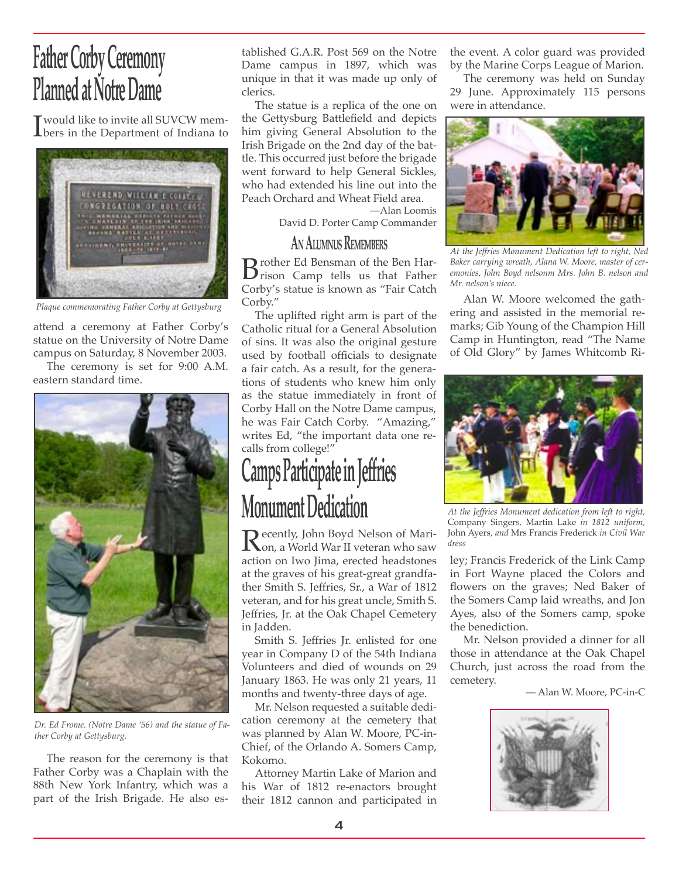# **Father Corby Ceremony Planned at Notre Dame**

I would like to invite all SUVCW mem-bers in the Department of Indiana to



*Plaque commemorating Father Corby at Gettysburg*

attend a ceremony at Father Corby's statue on the University of Notre Dame campus on Saturday, 8 November 2003.

The ceremony is set for 9:00 A.M. eastern standard time.



*Dr. Ed Frome. (Notre Dame '56) and the statue of Father Corby at Gettysburg.* 

The reason for the ceremony is that Father Corby was a Chaplain with the 88th New York Infantry, which was a part of the Irish Brigade. He also es-

tablished G.A.R. Post 569 on the Notre Dame campus in 1897, which was unique in that it was made up only of clerics.

The statue is a replica of the one on the Gettysburg Battlefield and depicts him giving General Absolution to the Irish Brigade on the 2nd day of the battle. This occurred just before the brigade went forward to help General Sickles, who had extended his line out into the Peach Orchard and Wheat Field area.

—Alan Loomis David D. Porter Camp Commander

### **AN ALUMNUS REMEMBERS**

**B**rother Ed Bensman of the Ben Har-<br>Frison Camp tells us that Father Corby's statue is known as "Fair Catch Corby."

The uplifted right arm is part of the Catholic ritual for a General Absolution of sins. It was also the original gesture used by football officials to designate a fair catch. As a result, for the generations of students who knew him only as the statue immediately in front of Corby Hall on the Notre Dame campus, he was Fair Catch Corby. "Amazing," writes Ed, "the important data one recalls from college!"

# **Camps Participate in Jeffries Monument Dedication**

**R**ecently, John Boyd Nelson of Mari-<br> **R**on, a World War II veteran who saw<br>
action on Iwo Jima, grocted hoadstones action on Iwo Jima, erected headstones at the graves of his great-great grandfather Smith S. Jeffries, Sr., a War of 1812 veteran, and for his great uncle, Smith S. Jeffries, Jr. at the Oak Chapel Cemetery in Jadden.

Smith S. Jeffries Jr. enlisted for one year in Company D of the 54th Indiana Volunteers and died of wounds on 29 January 1863. He was only 21 years, 11 months and twenty-three days of age.

Mr. Nelson requested a suitable dedication ceremony at the cemetery that was planned by Alan W. Moore, PC-in-Chief, of the Orlando A. Somers Camp, Kokomo.

Attorney Martin Lake of Marion and his War of 1812 re-enactors brought their 1812 cannon and participated in the event. A color guard was provided by the Marine Corps League of Marion.

The ceremony was held on Sunday 29 June. Approximately 115 persons were in attendance.



*At the Jeffries Monument Dedication left to right, Ned Baker carrying wreath, Alana W. Moore, master of ceremonies, John Boyd nelsonm Mrs. John B. nelson and Mr. nelson's niece.*

Alan W. Moore welcomed the gathering and assisted in the memorial remarks; Gib Young of the Champion Hill Camp in Huntington, read "The Name of Old Glory" by James Whitcomb Ri-



*At the Jeffries Monument dedication from left to right,*  Company Singers*,* Martin Lake *in 1812 uniform,*  John Ayers*, and* Mrs Francis Frederick *in Civil War dress*

ley; Francis Frederick of the Link Camp in Fort Wayne placed the Colors and flowers on the graves; Ned Baker of the Somers Camp laid wreaths, and Jon Ayes, also of the Somers camp, spoke the benediction.

Mr. Nelson provided a dinner for all those in attendance at the Oak Chapel Church, just across the road from the cemetery.

— Alan W. Moore, PC-in-C

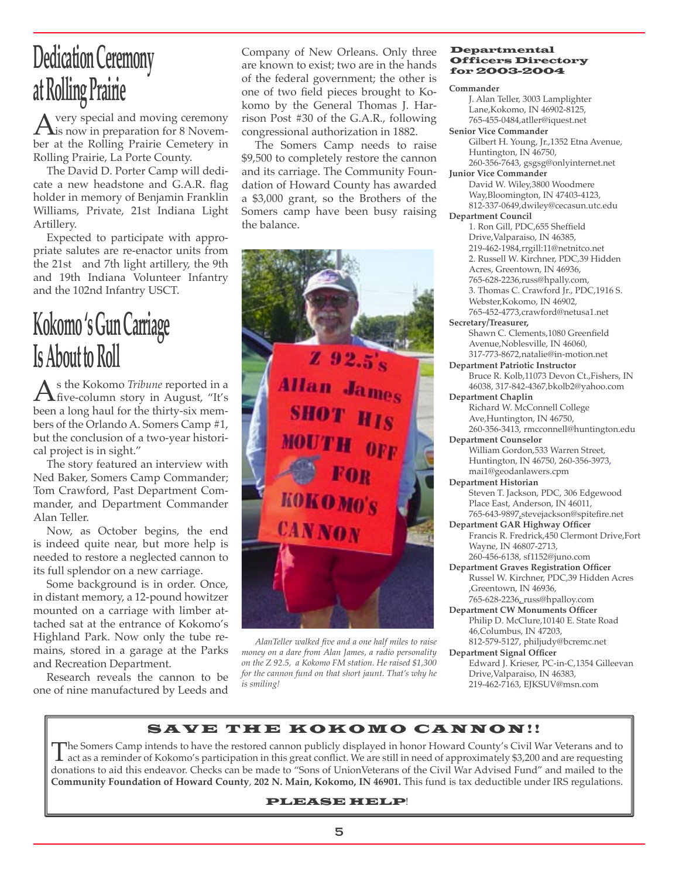# **Dedication Ceremony at Rolling Prairie**

 $\Delta$  very special and moving ceremony<br>hor at the Polling Prairie Comptony in ber at the Rolling Prairie Cemetery in Rolling Prairie, La Porte County.

The David D. Porter Camp will dedicate a new headstone and G.A.R. flag holder in memory of Benjamin Franklin Williams, Private, 21st Indiana Light Artillery.

Expected to participate with appropriate salutes are re-enactor units from the 21st and 7th light artillery, the 9th and 19th Indiana Volunteer Infantry and the 102nd Infantry USCT.

# **Kokomo 's Gun Carriage Is About to Roll**

As the Kokomo *Tribune* reported in a<br>five-column story in August, "It's<br>heap a long haul for the thirty giv mam been a long haul for the thirty-six members of the Orlando A. Somers Camp #1, but the conclusion of a two-year historical project is in sight."

The story featured an interview with Ned Baker, Somers Camp Commander; Tom Crawford, Past Department Commander, and Department Commander Alan Teller.

Now, as October begins, the end is indeed quite near, but more help is needed to restore a neglected cannon to its full splendor on a new carriage.

Some background is in order. Once, in distant memory, a 12-pound howitzer mounted on a carriage with limber attached sat at the entrance of Kokomo's Highland Park. Now only the tube remains, stored in a garage at the Parks and Recreation Department.

Research reveals the cannon to be one of nine manufactured by Leeds and Company of New Orleans. Only three are known to exist; two are in the hands of the federal government; the other is one of two field pieces brought to Kokomo by the General Thomas J. Harrison Post #30 of the G.A.R., following congressional authorization in 1882.

The Somers Camp needs to raise \$9,500 to completely restore the cannon and its carriage. The Community Foundation of Howard County has awarded a \$3,000 grant, so the Brothers of the Somers camp have been busy raising the balance.



*AlanTeller walked five and a one half miles to raise money on a dare from Alan James, a radio personality on the Z 92.5, a Kokomo FM station. He raised \$1,300 for the cannon fund on that short jaunt. That's why he is smiling!*

#### Departmental Officers Directory for 2003-2004

#### **Commander**

J. Alan Teller, 3003 Lamplighter Lane,Kokomo, IN 46902-8125, 765-455-0484,atller@iquest.net **Senior Vice Commander** Gilbert H. Young, Jr.,1352 Etna Avenue, Huntington, IN 46750, 260-356-7643, gsgsg@onlyinternet.net **Junior Vice Commander** David W. Wiley,3800 Woodmere Way,Bloomington, IN 47403-4123, 812-337-0649,dwiley@cecasun.utc.edu **Department Council**  1. Ron Gill, PDC,655 Sheffield Drive,Valparaiso, IN 46385, 219-462-1984,rrgill:11@netnitco.net 2. Russell W. Kirchner, PDC,39 Hidden Acres, Greentown, IN 46936, 765-628-2236,russ@hpally.com, 3. Thomas C. Crawford Jr., PDC,1916 S. Webster,Kokomo, IN 46902, 765-452-4773,crawford@netusa1.net **Secretary/Treasurer,** Shawn C. Clements,1080 Greenfield Avenue,Noblesville, IN 46060, 317-773-8672,natalie@in-motion.net **Department Patriotic Instructor** Bruce R. Kolb,11073 Devon Ct.,Fishers, IN 46038, 317-842-4367,bkolb2@yahoo.com **Department Chaplin** Richard W. McConnell College Ave,Huntington, IN 46750, 260-356-3413, rmcconnell@huntington.edu **Department Counselor** William Gordon,533 Warren Street, Huntington, IN 46750, 260-356-3973, mai1@geodanlawers.cpm **Department Historian** Steven T. Jackson, PDC, 306 Edgewood Place East, Anderson, IN 46011, 765-643-9897,stevejackson@spitefire.net **Department GAR Highway Officer** Francis R. Fredrick,450 Clermont Drive,Fort Wayne, IN 46807-2713, 260-456-6138, sf1152@juno.com **Department Graves Registration Officer** Russel W. Kirchner, PDC,39 Hidden Acres ,Greentown, IN 46936, 765-628-2236, russ@hpalloy.com **Department CW Monuments Officer** Philip D. McClure,10140 E. State Road 46,Columbus, IN 47203, 812-579-5127, philjudy@bcremc.net **Department Signal Officer** Edward J. Krieser, PC-in-C,1354 Gilleevan Drive,Valparaiso, IN 46383, 219-462-7163, EJKSUV@msn.com

### SAVE THE KOKOMO CANNON!!

The Somers Camp intends to have the restored cannon publicly displayed in honor Howard County's Civil War Veterans and to<br>act as a reminder of Kokomo's participation in this great conflict. We are still in need of approxim donations to aid this endeavor. Checks can be made to "Sons of UnionVeterans of the Civil War Advised Fund" and mailed to the **Community Foundation of Howard County**, **202 N. Main, Kokomo, IN 46901.** This fund is tax deductible under IRS regulations.

#### PLEASE HELP!